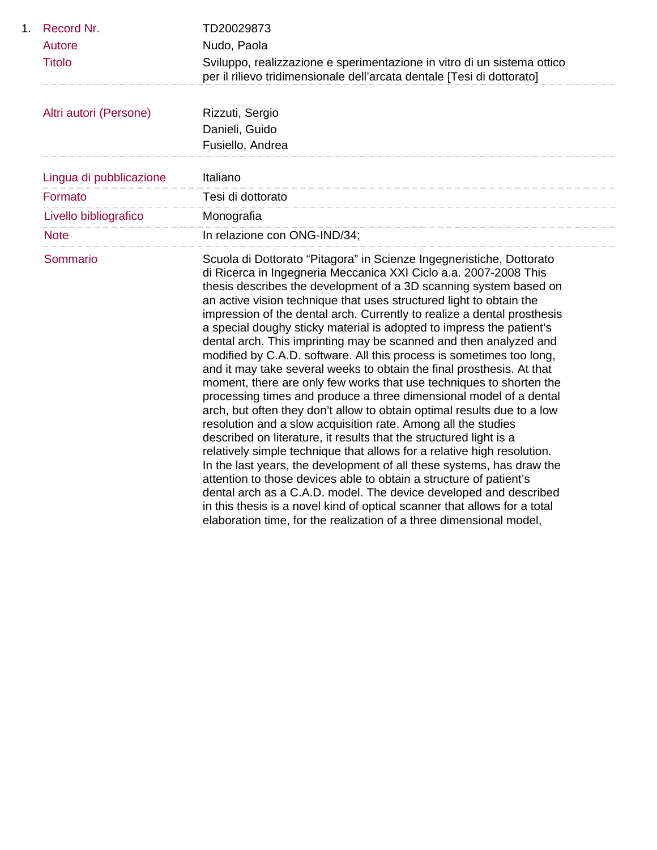| 1. | Record Nr.              | TD20029873                                                                                                                                                                                                                                                                                                                                                                                                                                                                                                                                                                                                                                                                                                                                                                                                                                                                                                                                                                                                                                                                                                                                                                                                                                                                                                                                                                                                                                                                      |
|----|-------------------------|---------------------------------------------------------------------------------------------------------------------------------------------------------------------------------------------------------------------------------------------------------------------------------------------------------------------------------------------------------------------------------------------------------------------------------------------------------------------------------------------------------------------------------------------------------------------------------------------------------------------------------------------------------------------------------------------------------------------------------------------------------------------------------------------------------------------------------------------------------------------------------------------------------------------------------------------------------------------------------------------------------------------------------------------------------------------------------------------------------------------------------------------------------------------------------------------------------------------------------------------------------------------------------------------------------------------------------------------------------------------------------------------------------------------------------------------------------------------------------|
|    | Autore                  | Nudo, Paola                                                                                                                                                                                                                                                                                                                                                                                                                                                                                                                                                                                                                                                                                                                                                                                                                                                                                                                                                                                                                                                                                                                                                                                                                                                                                                                                                                                                                                                                     |
|    | <b>Titolo</b>           | Sviluppo, realizzazione e sperimentazione in vitro di un sistema ottico<br>per il rilievo tridimensionale dell'arcata dentale [Tesi di dottorato]                                                                                                                                                                                                                                                                                                                                                                                                                                                                                                                                                                                                                                                                                                                                                                                                                                                                                                                                                                                                                                                                                                                                                                                                                                                                                                                               |
|    | Altri autori (Persone)  | Rizzuti, Sergio                                                                                                                                                                                                                                                                                                                                                                                                                                                                                                                                                                                                                                                                                                                                                                                                                                                                                                                                                                                                                                                                                                                                                                                                                                                                                                                                                                                                                                                                 |
|    |                         | Danieli, Guido                                                                                                                                                                                                                                                                                                                                                                                                                                                                                                                                                                                                                                                                                                                                                                                                                                                                                                                                                                                                                                                                                                                                                                                                                                                                                                                                                                                                                                                                  |
|    |                         | Fusiello, Andrea                                                                                                                                                                                                                                                                                                                                                                                                                                                                                                                                                                                                                                                                                                                                                                                                                                                                                                                                                                                                                                                                                                                                                                                                                                                                                                                                                                                                                                                                |
|    | Lingua di pubblicazione | Italiano                                                                                                                                                                                                                                                                                                                                                                                                                                                                                                                                                                                                                                                                                                                                                                                                                                                                                                                                                                                                                                                                                                                                                                                                                                                                                                                                                                                                                                                                        |
|    | Formato                 | Tesi di dottorato                                                                                                                                                                                                                                                                                                                                                                                                                                                                                                                                                                                                                                                                                                                                                                                                                                                                                                                                                                                                                                                                                                                                                                                                                                                                                                                                                                                                                                                               |
|    | Livello bibliografico   | Monografia                                                                                                                                                                                                                                                                                                                                                                                                                                                                                                                                                                                                                                                                                                                                                                                                                                                                                                                                                                                                                                                                                                                                                                                                                                                                                                                                                                                                                                                                      |
|    | <b>Note</b>             | In relazione con ONG-IND/34;                                                                                                                                                                                                                                                                                                                                                                                                                                                                                                                                                                                                                                                                                                                                                                                                                                                                                                                                                                                                                                                                                                                                                                                                                                                                                                                                                                                                                                                    |
|    | Sommario                | Scuola di Dottorato "Pitagora" in Scienze Ingegneristiche, Dottorato<br>di Ricerca in Ingegneria Meccanica XXI Ciclo a.a. 2007-2008 This<br>thesis describes the development of a 3D scanning system based on<br>an active vision technique that uses structured light to obtain the<br>impression of the dental arch. Currently to realize a dental prosthesis<br>a special doughy sticky material is adopted to impress the patient's<br>dental arch. This imprinting may be scanned and then analyzed and<br>modified by C.A.D. software. All this process is sometimes too long,<br>and it may take several weeks to obtain the final prosthesis. At that<br>moment, there are only few works that use techniques to shorten the<br>processing times and produce a three dimensional model of a dental<br>arch, but often they don't allow to obtain optimal results due to a low<br>resolution and a slow acquisition rate. Among all the studies<br>described on literature, it results that the structured light is a<br>relatively simple technique that allows for a relative high resolution.<br>In the last years, the development of all these systems, has draw the<br>attention to those devices able to obtain a structure of patient's<br>dental arch as a C.A.D. model. The device developed and described<br>in this thesis is a novel kind of optical scanner that allows for a total<br>elaboration time, for the realization of a three dimensional model, |